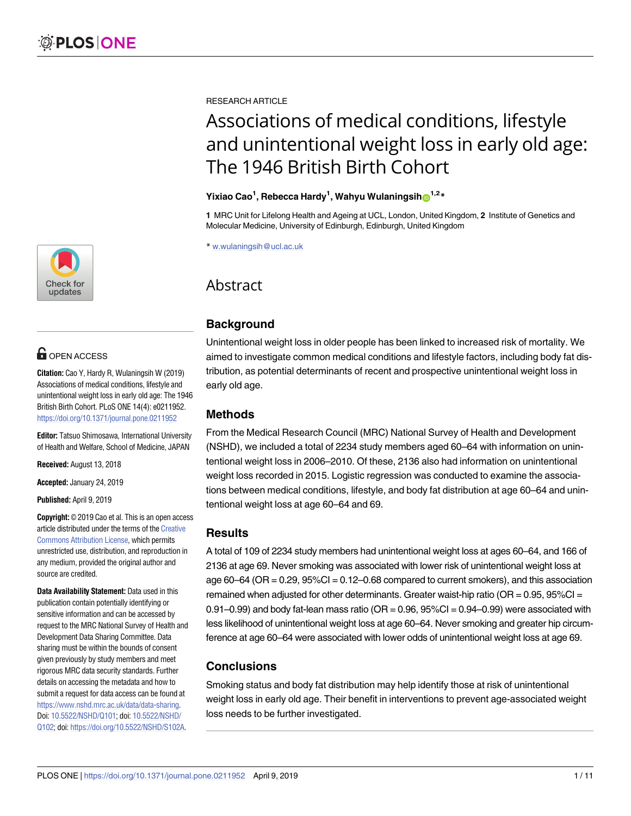

## **OPEN ACCESS**

**Citation:** Cao Y, Hardy R, Wulaningsih W (2019) Associations of medical conditions, lifestyle and unintentional weight loss in early old age: The 1946 British Birth Cohort. PLoS ONE 14(4): e0211952. <https://doi.org/10.1371/journal.pone.0211952>

**Editor:** Tatsuo Shimosawa, International University of Health and Welfare, School of Medicine, JAPAN

**Received:** August 13, 2018

**Accepted:** January 24, 2019

**Published:** April 9, 2019

**Copyright:** © 2019 Cao et al. This is an open access article distributed under the terms of the [Creative](http://creativecommons.org/licenses/by/4.0/) [Commons](http://creativecommons.org/licenses/by/4.0/) Attribution License, which permits unrestricted use, distribution, and reproduction in any medium, provided the original author and source are credited.

**Data Availability Statement:** Data used in this publication contain potentially identifying or sensitive information and can be accessed by request to the MRC National Survey of Health and Development Data Sharing Committee. Data sharing must be within the bounds of consent given previously by study members and meet rigorous MRC data security standards. Further details on accessing the metadata and how to submit a request for data access can be found at [https://www.nshd.mrc.ac.uk/data/data-sharing.](https://www.nshd.mrc.ac.uk/data/data-sharing) Doi: [10.5522/NSHD/Q101;](https://doi.org/10.5522/NSHD/Q101) doi: [10.5522/NSHD/](https://doi.org/10.5522/NSHD/Q102) [Q102](https://doi.org/10.5522/NSHD/Q102); doi: [https://doi.org/10.5522/NSHD/S102A.](https://doi.org/10.5522/NSHD/S102A)

RESEARCH ARTICLE

# Associations of medical conditions, lifestyle and unintentional weight loss in early old age: The 1946 British Birth Cohort

## **Yixiao Cao1 , Rebecca Hardy1 , Wahyu Wulaningsih[ID1](http://orcid.org/0000-0002-3822-1648),2\***

**1** MRC Unit for Lifelong Health and Ageing at UCL, London, United Kingdom, **2** Institute of Genetics and Molecular Medicine, University of Edinburgh, Edinburgh, United Kingdom

\* w.wulaningsih@ucl.ac.uk

## **Abstract**

## **Background**

Unintentional weight loss in older people has been linked to increased risk of mortality. We aimed to investigate common medical conditions and lifestyle factors, including body fat distribution, as potential determinants of recent and prospective unintentional weight loss in early old age.

## **Methods**

From the Medical Research Council (MRC) National Survey of Health and Development (NSHD), we included a total of 2234 study members aged 60–64 with information on unintentional weight loss in 2006–2010. Of these, 2136 also had information on unintentional weight loss recorded in 2015. Logistic regression was conducted to examine the associations between medical conditions, lifestyle, and body fat distribution at age 60–64 and unintentional weight loss at age 60–64 and 69.

## **Results**

A total of 109 of 2234 study members had unintentional weight loss at ages 60–64, and 166 of 2136 at age 69. Never smoking was associated with lower risk of unintentional weight loss at age 60–64 (OR = 0.29, 95%CI = 0.12–0.68 compared to current smokers), and this association remained when adjusted for other determinants. Greater waist-hip ratio (OR = 0.95, 95%CI =  $0.91-0.99$ ) and body fat-lean mass ratio (OR =  $0.96$ ,  $95\%$ Cl =  $0.94-0.99$ ) were associated with less likelihood of unintentional weight loss at age 60–64. Never smoking and greater hip circumference at age 60–64 were associated with lower odds of unintentional weight loss at age 69.

## **Conclusions**

Smoking status and body fat distribution may help identify those at risk of unintentional weight loss in early old age. Their benefit in interventions to prevent age-associated weight loss needs to be further investigated.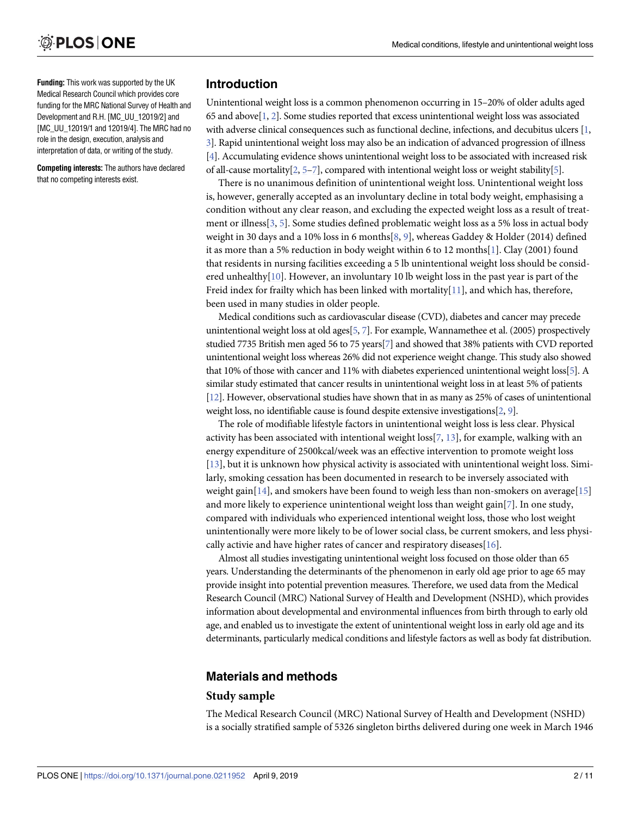<span id="page-1-0"></span>**Funding:** This work was supported by the UK Medical Research Council which provides core funding for the MRC National Survey of Health and Development and R.H. [MC\_UU\_12019/2] and [MC\_UU\_12019/1 and 12019/4]. The MRC had no role in the design, execution, analysis and interpretation of data, or writing of the study.

**Competing interests:** The authors have declared that no competing interests exist.

### **Introduction**

Unintentional weight loss is a common phenomenon occurring in 15–20% of older adults aged 65 and above[\[1,](#page-9-0) [2\]](#page-9-0). Some studies reported that excess unintentional weight loss was associated with adverse clinical consequences such as functional decline, infections, and decubitus ulcers [[1](#page-9-0), [3\]](#page-9-0). Rapid unintentional weight loss may also be an indication of advanced progression of illness [\[4\]](#page-9-0). Accumulating evidence shows unintentional weight loss to be associated with increased risk of all-cause mortality[\[2,](#page-9-0)  $5-7$  $5-7$ ], compared with intentional weight loss or weight stability[5].

There is no unanimous definition of unintentional weight loss. Unintentional weight loss is, however, generally accepted as an involuntary decline in total body weight, emphasising a condition without any clear reason, and excluding the expected weight loss as a result of treatment or illness[\[3,](#page-9-0) [5\]](#page-9-0). Some studies defined problematic weight loss as a 5% loss in actual body weight in 30 days and a 10% loss in 6 months[\[8,](#page-9-0) [9](#page-9-0)], whereas Gaddey & Holder (2014) defined it as more than a 5% reduction in body weight within 6 to 12 months[\[1](#page-9-0)]. Clay (2001) found that residents in nursing facilities exceeding a 5 lb unintentional weight loss should be considered unhealthy $[10]$  $[10]$  $[10]$ . However, an involuntary 10 lb weight loss in the past year is part of the Freid index for frailty which has been linked with mortality[\[11\]](#page-9-0), and which has, therefore, been used in many studies in older people.

Medical conditions such as cardiovascular disease (CVD), diabetes and cancer may precede unintentional weight loss at old ages[\[5](#page-9-0), [7\]](#page-9-0). For example, Wannamethee et al. (2005) prospectively studied 7735 British men aged 56 to 75 years[\[7\]](#page-9-0) and showed that 38% patients with CVD reported unintentional weight loss whereas 26% did not experience weight change. This study also showed that 10% of those with cancer and 11% with diabetes experienced unintentional weight loss[\[5](#page-9-0)]. A similar study estimated that cancer results in unintentional weight loss in at least 5% of patients [\[12](#page-9-0)]. However, observational studies have shown that in as many as 25% of cases of unintentional weight loss, no identifiable cause is found despite extensive investigations[\[2,](#page-9-0) [9\]](#page-9-0).

The role of modifiable lifestyle factors in unintentional weight loss is less clear. Physical activity has been associated with intentional weight loss[\[7](#page-9-0), [13](#page-9-0)], for example, walking with an energy expenditure of 2500kcal/week was an effective intervention to promote weight loss [\[13\]](#page-9-0), but it is unknown how physical activity is associated with unintentional weight loss. Similarly, smoking cessation has been documented in research to be inversely associated with weight gain [\[14\]](#page-9-0), and smokers have been found to weigh less than non-smokers on average [[15\]](#page-10-0) and more likely to experience unintentional weight loss than weight gain[[7\]](#page-9-0). In one study, compared with individuals who experienced intentional weight loss, those who lost weight unintentionally were more likely to be of lower social class, be current smokers, and less physically activie and have higher rates of cancer and respiratory diseases[[16](#page-10-0)].

Almost all studies investigating unintentional weight loss focused on those older than 65 years. Understanding the determinants of the phenomenon in early old age prior to age 65 may provide insight into potential prevention measures. Therefore, we used data from the Medical Research Council (MRC) National Survey of Health and Development (NSHD), which provides information about developmental and environmental influences from birth through to early old age, and enabled us to investigate the extent of unintentional weight loss in early old age and its determinants, particularly medical conditions and lifestyle factors as well as body fat distribution.

### **Materials and methods**

#### **Study sample**

The Medical Research Council (MRC) National Survey of Health and Development (NSHD) is a socially stratified sample of 5326 singleton births delivered during one week in March 1946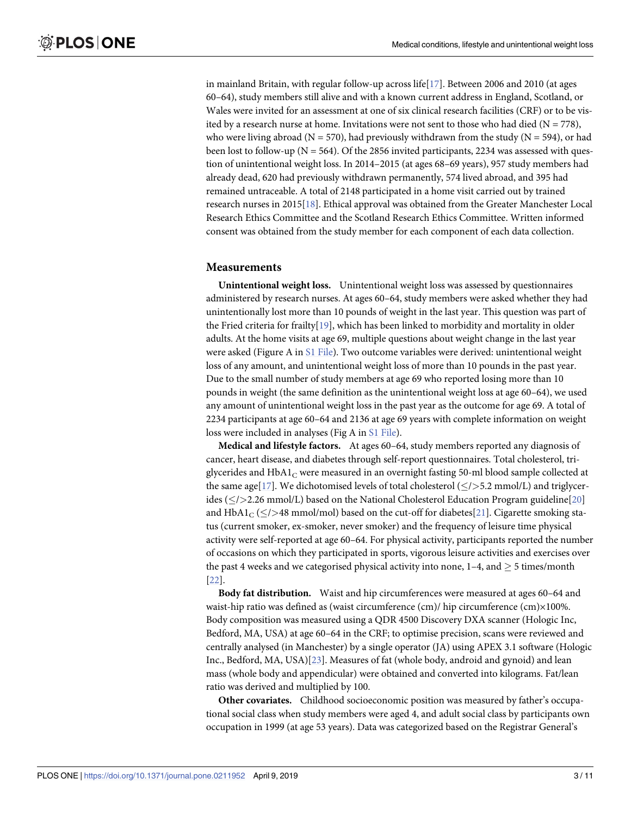<span id="page-2-0"></span>in mainland Britain, with regular follow-up across life[[17](#page-10-0)]. Between 2006 and 2010 (at ages 60–64), study members still alive and with a known current address in England, Scotland, or Wales were invited for an assessment at one of six clinical research facilities (CRF) or to be visited by a research nurse at home. Invitations were not sent to those who had died ( $N = 778$ ), who were living abroad ( $N = 570$ ), had previously withdrawn from the study ( $N = 594$ ), or had been lost to follow-up ( $N = 564$ ). Of the 2856 invited participants, 2234 was assessed with question of unintentional weight loss. In 2014–2015 (at ages 68–69 years), 957 study members had already dead, 620 had previously withdrawn permanently, 574 lived abroad, and 395 had remained untraceable. A total of 2148 participated in a home visit carried out by trained research nurses in 2015[\[18\]](#page-10-0). Ethical approval was obtained from the Greater Manchester Local Research Ethics Committee and the Scotland Research Ethics Committee. Written informed consent was obtained from the study member for each component of each data collection.

#### **Measurements**

**Unintentional weight loss.** Unintentional weight loss was assessed by questionnaires administered by research nurses. At ages 60–64, study members were asked whether they had unintentionally lost more than 10 pounds of weight in the last year. This question was part of the Fried criteria for frailty[[19](#page-10-0)], which has been linked to morbidity and mortality in older adults. At the home visits at age 69, multiple questions about weight change in the last year were asked (Figure A in S1 [File](#page-8-0)). Two outcome variables were derived: unintentional weight loss of any amount, and unintentional weight loss of more than 10 pounds in the past year. Due to the small number of study members at age 69 who reported losing more than 10 pounds in weight (the same definition as the unintentional weight loss at age 60–64), we used any amount of unintentional weight loss in the past year as the outcome for age 69. A total of 2234 participants at age 60–64 and 2136 at age 69 years with complete information on weight loss were included in analyses (Fig A in S1 [File](#page-8-0)).

**Medical and lifestyle factors.** At ages 60–64, study members reported any diagnosis of cancer, heart disease, and diabetes through self-report questionnaires. Total cholesterol, triglycerides and  $HbA1<sub>C</sub>$  were measured in an overnight fasting 50-ml blood sample collected at the same age[[17](#page-10-0)]. We dichotomised levels of total cholesterol (�/*>*5.2 mmol/L) and triglycerides (�/*>*2.26 mmol/L) based on the National Cholesterol Education Program guideline[\[20\]](#page-10-0) and  $HbA1_C$  ( $\leq$ />48 mmol/mol) based on the cut-off for diabetes[\[21\]](#page-10-0). Cigarette smoking status (current smoker, ex-smoker, never smoker) and the frequency of leisure time physical activity were self-reported at age 60–64. For physical activity, participants reported the number of occasions on which they participated in sports, vigorous leisure activities and exercises over the past 4 weeks and we categorised physical activity into none,  $1-4$ , and  $\geq 5$  times/month [\[22\]](#page-10-0).

**Body fat distribution.** Waist and hip circumferences were measured at ages 60–64 and waist-hip ratio was defined as (waist circumference (cm)/ hip circumference (cm)×100%. Body composition was measured using a QDR 4500 Discovery DXA scanner (Hologic Inc, Bedford, MA, USA) at age 60–64 in the CRF; to optimise precision, scans were reviewed and centrally analysed (in Manchester) by a single operator (JA) using APEX 3.1 software (Hologic Inc., Bedford, MA, USA)[[23\]](#page-10-0). Measures of fat (whole body, android and gynoid) and lean mass (whole body and appendicular) were obtained and converted into kilograms. Fat/lean ratio was derived and multiplied by 100.

**Other covariates.** Childhood socioeconomic position was measured by father's occupational social class when study members were aged 4, and adult social class by participants own occupation in 1999 (at age 53 years). Data was categorized based on the Registrar General's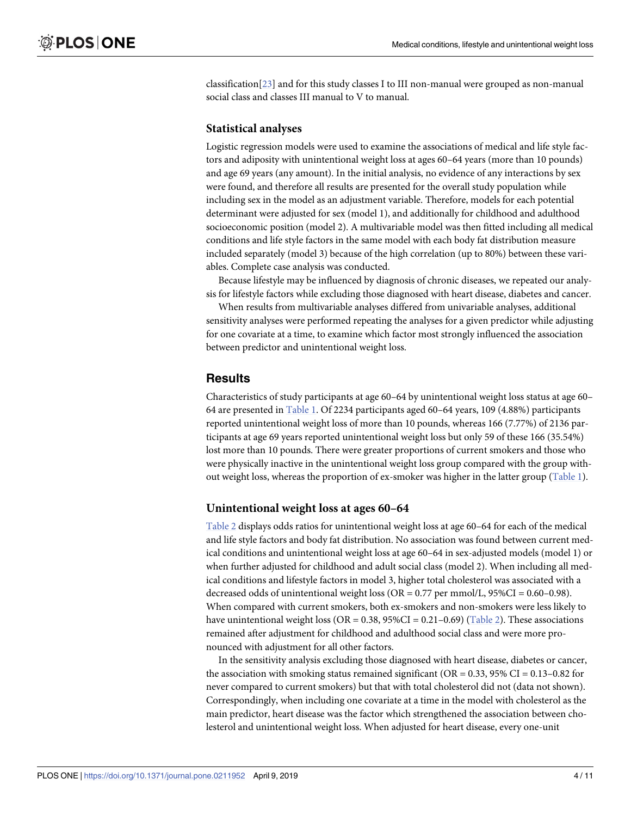<span id="page-3-0"></span>classification[[23](#page-10-0)] and for this study classes I to III non-manual were grouped as non-manual social class and classes III manual to V to manual.

#### **Statistical analyses**

Logistic regression models were used to examine the associations of medical and life style factors and adiposity with unintentional weight loss at ages 60–64 years (more than 10 pounds) and age 69 years (any amount). In the initial analysis, no evidence of any interactions by sex were found, and therefore all results are presented for the overall study population while including sex in the model as an adjustment variable. Therefore, models for each potential determinant were adjusted for sex (model 1), and additionally for childhood and adulthood socioeconomic position (model 2). A multivariable model was then fitted including all medical conditions and life style factors in the same model with each body fat distribution measure included separately (model 3) because of the high correlation (up to 80%) between these variables. Complete case analysis was conducted.

Because lifestyle may be influenced by diagnosis of chronic diseases, we repeated our analysis for lifestyle factors while excluding those diagnosed with heart disease, diabetes and cancer.

When results from multivariable analyses differed from univariable analyses, additional sensitivity analyses were performed repeating the analyses for a given predictor while adjusting for one covariate at a time, to examine which factor most strongly influenced the association between predictor and unintentional weight loss.

#### **Results**

Characteristics of study participants at age 60–64 by unintentional weight loss status at age 60– 64 are presented in [Table](#page-4-0) 1. Of 2234 participants aged 60–64 years, 109 (4.88%) participants reported unintentional weight loss of more than 10 pounds, whereas 166 (7.77%) of 2136 participants at age 69 years reported unintentional weight loss but only 59 of these 166 (35.54%) lost more than 10 pounds. There were greater proportions of current smokers and those who were physically inactive in the unintentional weight loss group compared with the group without weight loss, whereas the proportion of ex-smoker was higher in the latter group [\(Table](#page-4-0) 1).

#### **Unintentional weight loss at ages 60–64**

[Table](#page-5-0) 2 displays odds ratios for unintentional weight loss at age 60–64 for each of the medical and life style factors and body fat distribution. No association was found between current medical conditions and unintentional weight loss at age 60–64 in sex-adjusted models (model 1) or when further adjusted for childhood and adult social class (model 2). When including all medical conditions and lifestyle factors in model 3, higher total cholesterol was associated with a decreased odds of unintentional weight loss (OR = 0.77 per mmol/L, 95%CI = 0.60–0.98). When compared with current smokers, both ex-smokers and non-smokers were less likely to have unintentional weight loss (OR =  $0.38$ ,  $95\%CI = 0.21 - 0.69$ ) [\(Table](#page-5-0) 2). These associations remained after adjustment for childhood and adulthood social class and were more pronounced with adjustment for all other factors.

In the sensitivity analysis excluding those diagnosed with heart disease, diabetes or cancer, the association with smoking status remained significant ( $OR = 0.33$ ,  $95\% CI = 0.13 - 0.82$  for never compared to current smokers) but that with total cholesterol did not (data not shown). Correspondingly, when including one covariate at a time in the model with cholesterol as the main predictor, heart disease was the factor which strengthened the association between cholesterol and unintentional weight loss. When adjusted for heart disease, every one-unit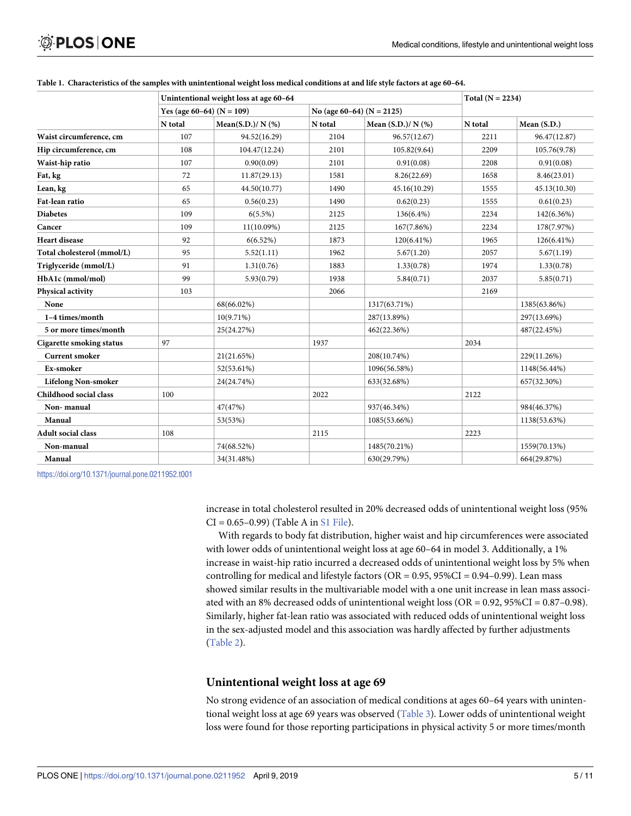|                            | Unintentional weight loss at age 60-64 |                                                              |         | Total $(N = 2234)$   |         |               |
|----------------------------|----------------------------------------|--------------------------------------------------------------|---------|----------------------|---------|---------------|
|                            |                                        | Yes (age $60-64$ ) (N = 109)<br>No (age $60-64$ ) (N = 2125) |         |                      |         |               |
|                            | N total                                | Mean $(S.D.)/ N$ (%)                                         | N total | Mean $(S.D.)/ N$ (%) | N total | Mean $(S.D.)$ |
| Waist circumference, cm    | 107                                    | 94.52(16.29)                                                 | 2104    | 96.57(12.67)         | 2211    | 96.47(12.87)  |
| Hip circumference, cm      | 108                                    | 104.47(12.24)                                                | 2101    | 105.82(9.64)         | 2209    | 105.76(9.78)  |
| Waist-hip ratio            | 107                                    | 0.90(0.09)                                                   | 2101    | 0.91(0.08)           | 2208    | 0.91(0.08)    |
| Fat, kg                    | 72                                     | 11.87(29.13)                                                 | 1581    | 8.26(22.69)          | 1658    | 8.46(23.01)   |
| Lean, kg                   | 65                                     | 44.50(10.77)                                                 | 1490    | 45.16(10.29)         | 1555    | 45.13(10.30)  |
| Fat-lean ratio             | 65                                     | 0.56(0.23)                                                   | 1490    | 0.62(0.23)           | 1555    | 0.61(0.23)    |
| <b>Diabetes</b>            | 109                                    | $6(5.5\%)$                                                   | 2125    | 136(6.4%)            | 2234    | 142(6.36%)    |
| Cancer                     | 109                                    | 11(10.09%)                                                   | 2125    | 167(7.86%)           | 2234    | 178(7.97%)    |
| <b>Heart disease</b>       | 92                                     | 6(6.52%)                                                     | 1873    | $120(6.41\%)$        | 1965    | $126(6.41\%)$ |
| Total cholesterol (mmol/L) | 95                                     | 5.52(1.11)                                                   | 1962    | 5.67(1.20)           | 2057    | 5.67(1.19)    |
| Triglyceride (mmol/L)      | 91                                     | 1.31(0.76)                                                   | 1883    | 1.33(0.78)           | 1974    | 1.33(0.78)    |
| HbA1c (mmol/mol)           | 99                                     | 5.93(0.79)                                                   | 1938    | 5.84(0.71)           | 2037    | 5.85(0.71)    |
| Physical activity          | 103                                    |                                                              | 2066    |                      | 2169    |               |
| None                       |                                        | 68(66.02%)                                                   |         | 1317(63.71%)         |         | 1385(63.86%)  |
| 1-4 times/month            |                                        | 10(9.71%)                                                    |         | 287(13.89%)          |         | 297(13.69%)   |
| 5 or more times/month      |                                        | 25(24.27%)                                                   |         | 462(22.36%)          |         | 487(22.45%)   |
| Cigarette smoking status   | 97                                     |                                                              | 1937    |                      | 2034    |               |
| <b>Current smoker</b>      |                                        | 21(21.65%)                                                   |         | 208(10.74%)          |         | 229(11.26%)   |
| Ex-smoker                  |                                        | 52(53.61%)                                                   |         | 1096(56.58%)         |         | 1148(56.44%)  |
| <b>Lifelong Non-smoker</b> |                                        | 24(24.74%)                                                   |         | 633(32.68%)          |         | 657(32.30%)   |
| Childhood social class     | 100                                    |                                                              | 2022    |                      | 2122    |               |
| Non-manual                 |                                        | 47(47%)                                                      |         | 937(46.34%)          |         | 984(46.37%)   |
| Manual                     |                                        | 53(53%)                                                      |         | 1085(53.66%)         |         | 1138(53.63%)  |
| <b>Adult social class</b>  | 108                                    |                                                              | 2115    |                      | 2223    |               |
| Non-manual                 |                                        | 74(68.52%)                                                   |         | 1485(70.21%)         |         | 1559(70.13%)  |
| Manual                     |                                        | 34(31.48%)                                                   |         | 630(29.79%)          |         | 664(29.87%)   |

<span id="page-4-0"></span>

|  | Table 1. Characteristics of the samples with unintentional weight loss medical conditions at and life style factors at age 60-64. |  |  |
|--|-----------------------------------------------------------------------------------------------------------------------------------|--|--|
|  |                                                                                                                                   |  |  |

<https://doi.org/10.1371/journal.pone.0211952.t001>

increase in total cholesterol resulted in 20% decreased odds of unintentional weight loss (95%  $CI = 0.65 - 0.99$  (Table A in S1 [File\)](#page-8-0).

With regards to body fat distribution, higher waist and hip circumferences were associated with lower odds of unintentional weight loss at age 60–64 in model 3. Additionally, a 1% increase in waist-hip ratio incurred a decreased odds of unintentional weight loss by 5% when controlling for medical and lifestyle factors ( $OR = 0.95$ ,  $95\%CI = 0.94 - 0.99$ ). Lean mass showed similar results in the multivariable model with a one unit increase in lean mass associated with an 8% decreased odds of unintentional weight loss (OR = 0.92, 95%CI = 0.87–0.98). Similarly, higher fat-lean ratio was associated with reduced odds of unintentional weight loss in the sex-adjusted model and this association was hardly affected by further adjustments [\(Table](#page-5-0) 2).

#### **Unintentional weight loss at age 69**

No strong evidence of an association of medical conditions at ages 60–64 years with uninten-tional weight loss at age 69 years was observed ([Table](#page-6-0) 3). Lower odds of unintentional weight loss were found for those reporting participations in physical activity 5 or more times/month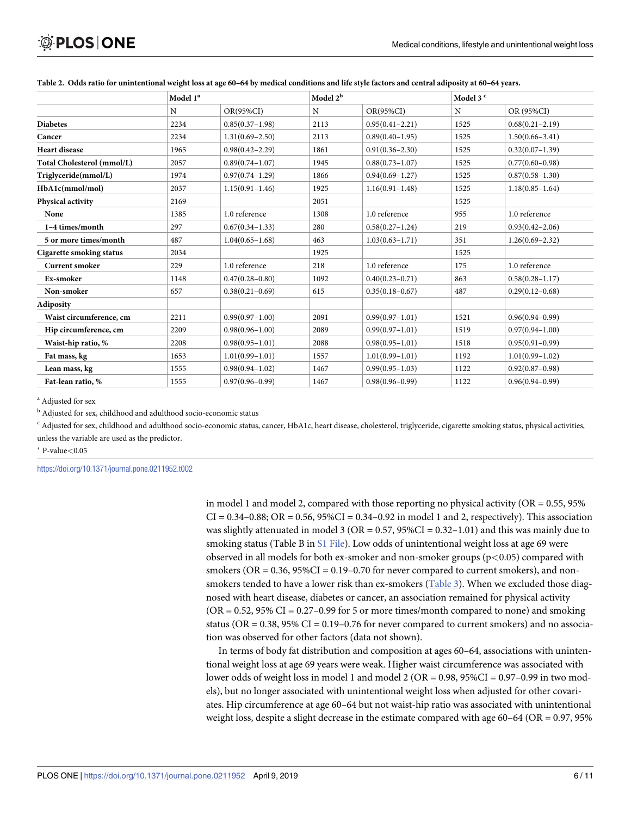|                                 | Model 1 <sup>a</sup> |                     |      | Model $2^b$         |      | Model 3 <sup>c</sup> |  |
|---------------------------------|----------------------|---------------------|------|---------------------|------|----------------------|--|
|                                 | N                    | $OR(95\%CI)$        | N    | $OR(95\%CI)$        | N    | OR (95%CI)           |  |
| <b>Diabetes</b>                 | 2234                 | $0.85(0.37-1.98)$   | 2113 | $0.95(0.41 - 2.21)$ | 1525 | $0.68(0.21 - 2.19)$  |  |
| Cancer                          | 2234                 | $1.31(0.69 - 2.50)$ | 2113 | $0.89(0.40 - 1.95)$ | 1525 | $1.50(0.66 - 3.41)$  |  |
| <b>Heart disease</b>            | 1965                 | $0.98(0.42 - 2.29)$ | 1861 | $0.91(0.36 - 2.30)$ | 1525 | $0.32(0.07-1.39)$    |  |
| Total Cholesterol (mmol/L)      | 2057                 | $0.89(0.74 - 1.07)$ | 1945 | $0.88(0.73 - 1.07)$ | 1525 | $0.77(0.60 - 0.98)$  |  |
| Triglyceride(mmol/L)            | 1974                 | $0.97(0.74 - 1.29)$ | 1866 | $0.94(0.69 - 1.27)$ | 1525 | $0.87(0.58 - 1.30)$  |  |
| HbA1c(mmol/mol)                 | 2037                 | $1.15(0.91 - 1.46)$ | 1925 | $1.16(0.91 - 1.48)$ | 1525 | $1.18(0.85 - 1.64)$  |  |
| Physical activity               | 2169                 |                     | 2051 |                     | 1525 |                      |  |
| None                            | 1385                 | 1.0 reference       | 1308 | 1.0 reference       | 955  | 1.0 reference        |  |
| 1-4 times/month                 | 297                  | $0.67(0.34 - 1.33)$ | 280  | $0.58(0.27 - 1.24)$ | 219  | $0.93(0.42 - 2.06)$  |  |
| 5 or more times/month           | 487                  | $1.04(0.65 - 1.68)$ | 463  | $1.03(0.63 - 1.71)$ | 351  | $1.26(0.69 - 2.32)$  |  |
| <b>Cigarette smoking status</b> | 2034                 |                     | 1925 |                     | 1525 |                      |  |
| <b>Current smoker</b>           | 229                  | 1.0 reference       | 218  | 1.0 reference       | 175  | 1.0 reference        |  |
| Ex-smoker                       | 1148                 | $0.47(0.28 - 0.80)$ | 1092 | $0.40(0.23 - 0.71)$ | 863  | $0.58(0.28 - 1.17)$  |  |
| Non-smoker                      | 657                  | $0.38(0.21 - 0.69)$ | 615  | $0.35(0.18 - 0.67)$ | 487  | $0.29(0.12 - 0.68)$  |  |
| Adiposity                       |                      |                     |      |                     |      |                      |  |
| Waist circumference, cm         | 2211                 | $0.99(0.97 - 1.00)$ | 2091 | $0.99(0.97 - 1.01)$ | 1521 | $0.96(0.94 - 0.99)$  |  |
| Hip circumference, cm           | 2209                 | $0.98(0.96 - 1.00)$ | 2089 | $0.99(0.97 - 1.01)$ | 1519 | $0.97(0.94 - 1.00)$  |  |
| Waist-hip ratio, %              | 2208                 | $0.98(0.95 - 1.01)$ | 2088 | $0.98(0.95 - 1.01)$ | 1518 | $0.95(0.91 - 0.99)$  |  |
| Fat mass, kg                    | 1653                 | $1.01(0.99 - 1.01)$ | 1557 | $1.01(0.99 - 1.01)$ | 1192 | $1.01(0.99 - 1.02)$  |  |
| Lean mass, kg                   | 1555                 | $0.98(0.94 - 1.02)$ | 1467 | $0.99(0.95 - 1.03)$ | 1122 | $0.92(0.87 - 0.98)$  |  |
| Fat-lean ratio, %               | 1555                 | $0.97(0.96 - 0.99)$ | 1467 | $0.98(0.96 - 0.99)$ | 1122 | $0.96(0.94 - 0.99)$  |  |

<span id="page-5-0"></span>[Table](#page-3-0) 2. Odds ratio for unintentional weight loss at age 60-64 by medical conditions and life style factors and central adiposity at 60-64 years.

<sup>a</sup> Adjusted for sex

<sup>b</sup> Adjusted for sex, childhood and adulthood socio-economic status

<sup>c</sup> Adjusted for sex, childhood and adulthood socio-economic status, cancer, HbA1c, heart disease, cholesterol, triglyceride, cigarette smoking status, physical activities, unless the variable are used as the predictor.

� P-value*<*0.05

<https://doi.org/10.1371/journal.pone.0211952.t002>

in model 1 and model 2, compared with those reporting no physical activity (OR = 0.55, 95%  $CI = 0.34 - 0.88$ ;  $OR = 0.56$ ,  $95\% CI = 0.34 - 0.92$  in model 1 and 2, respectively). This association was slightly attenuated in model 3 (OR =  $0.57$ ,  $95\%CI = 0.32-1.01$ ) and this was mainly due to smoking status (Table B in S1 [File](#page-8-0)). Low odds of unintentional weight loss at age 69 were observed in all models for both ex-smoker and non-smoker groups (p*<*0.05) compared with smokers ( $OR = 0.36$ ,  $95\%CI = 0.19 - 0.70$  for never compared to current smokers), and nonsmokers tended to have a lower risk than ex-smokers [\(Table](#page-6-0) 3). When we excluded those diagnosed with heart disease, diabetes or cancer, an association remained for physical activity  $(OR = 0.52, 95\% CI = 0.27 - 0.99$  for 5 or more times/month compared to none) and smoking status (OR =  $0.38$ , 95% CI =  $0.19$ – $0.76$  for never compared to current smokers) and no association was observed for other factors (data not shown).

In terms of body fat distribution and composition at ages 60–64, associations with unintentional weight loss at age 69 years were weak. Higher waist circumference was associated with lower odds of weight loss in model 1 and model 2 (OR =  $0.98$ ,  $95\%CI = 0.97 - 0.99$  in two models), but no longer associated with unintentional weight loss when adjusted for other covariates. Hip circumference at age 60–64 but not waist-hip ratio was associated with unintentional weight loss, despite a slight decrease in the estimate compared with age 60–64 (OR = 0.97, 95%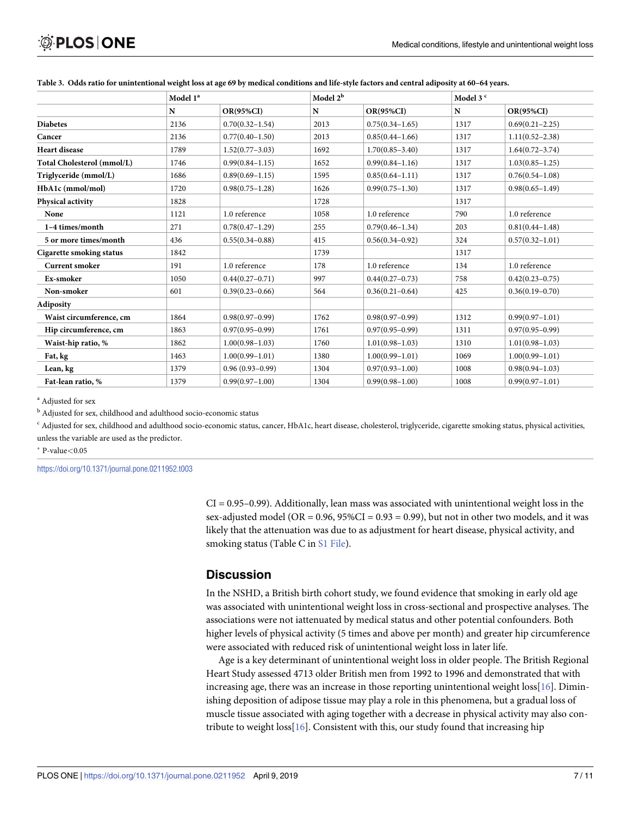|                                   | Model 1 <sup>a</sup> |                     | Model 2 <sup>b</sup> |                     |      | Model 3 <sup>c</sup> |  |
|-----------------------------------|----------------------|---------------------|----------------------|---------------------|------|----------------------|--|
|                                   | N                    | <b>OR(95%CI)</b>    | N                    | <b>OR(95%CI)</b>    | N    | <b>OR(95%CI)</b>     |  |
| <b>Diabetes</b>                   | 2136                 | $0.70(0.32 - 1.54)$ | 2013                 | $0.75(0.34 - 1.65)$ | 1317 | $0.69(0.21 - 2.25)$  |  |
| Cancer                            | 2136                 | $0.77(0.40 - 1.50)$ | 2013                 | $0.85(0.44 - 1.66)$ | 1317 | $1.11(0.52 - 2.38)$  |  |
| <b>Heart disease</b>              | 1789                 | $1.52(0.77 - 3.03)$ | 1692                 | $1.70(0.85 - 3.40)$ | 1317 | $1.64(0.72 - 3.74)$  |  |
| <b>Total Cholesterol (mmol/L)</b> | 1746                 | $0.99(0.84 - 1.15)$ | 1652                 | $0.99(0.84 - 1.16)$ | 1317 | $1.03(0.85 - 1.25)$  |  |
| Triglyceride (mmol/L)             | 1686                 | $0.89(0.69 - 1.15)$ | 1595                 | $0.85(0.64 - 1.11)$ | 1317 | $0.76(0.54 - 1.08)$  |  |
| HbA1c (mmol/mol)                  | 1720                 | $0.98(0.75 - 1.28)$ | 1626                 | $0.99(0.75 - 1.30)$ | 1317 | $0.98(0.65 - 1.49)$  |  |
| Physical activity                 | 1828                 |                     | 1728                 |                     | 1317 |                      |  |
| None                              | 1121                 | 1.0 reference       | 1058                 | 1.0 reference       | 790  | 1.0 reference        |  |
| 1-4 times/month                   | 271                  | $0.78(0.47 - 1.29)$ | 255                  | $0.79(0.46 - 1.34)$ | 203  | $0.81(0.44 - 1.48)$  |  |
| 5 or more times/month             | 436                  | $0.55(0.34 - 0.88)$ | 415                  | $0.56(0.34 - 0.92)$ | 324  | $0.57(0.32 - 1.01)$  |  |
| Cigarette smoking status          | 1842                 |                     | 1739                 |                     | 1317 |                      |  |
| <b>Current smoker</b>             | 191                  | 1.0 reference       | 178                  | 1.0 reference       | 134  | 1.0 reference        |  |
| Ex-smoker                         | 1050                 | $0.44(0.27-0.71)$   | 997                  | $0.44(0.27-0.73)$   | 758  | $0.42(0.23 - 0.75)$  |  |
| Non-smoker                        | 601                  | $0.39(0.23 - 0.66)$ | 564                  | $0.36(0.21 - 0.64)$ | 425  | $0.36(0.19 - 0.70)$  |  |
| Adiposity                         |                      |                     |                      |                     |      |                      |  |
| Waist circumference, cm           | 1864                 | $0.98(0.97-0.99)$   | 1762                 | $0.98(0.97-0.99)$   | 1312 | $0.99(0.97 - 1.01)$  |  |
| Hip circumference, cm             | 1863                 | $0.97(0.95 - 0.99)$ | 1761                 | $0.97(0.95 - 0.99)$ | 1311 | $0.97(0.95 - 0.99)$  |  |
| Waist-hip ratio, %                | 1862                 | $1.00(0.98 - 1.03)$ | 1760                 | $1.01(0.98 - 1.03)$ | 1310 | $1.01(0.98 - 1.03)$  |  |
| Fat, kg                           | 1463                 | $1.00(0.99 - 1.01)$ | 1380                 | $1.00(0.99 - 1.01)$ | 1069 | $1.00(0.99 - 1.01)$  |  |
| Lean, kg                          | 1379                 | $0.96(0.93 - 0.99)$ | 1304                 | $0.97(0.93 - 1.00)$ | 1008 | $0.98(0.94 - 1.03)$  |  |
| Fat-lean ratio, %                 | 1379                 | $0.99(0.97 - 1.00)$ | 1304                 | $0.99(0.98 - 1.00)$ | 1008 | $0.99(0.97 - 1.01)$  |  |

<span id="page-6-0"></span>[Table](#page-4-0) 3. Odds ratio for unintentional weight loss at age 69 by medical conditions and life-style factors and central adiposity at 60-64 years.

<sup>a</sup> Adjusted for sex

<sup>b</sup> Adjusted for sex, childhood and adulthood socio-economic status

<sup>c</sup> Adjusted for sex, childhood and adulthood socio-economic status, cancer, HbA1c, heart disease, cholesterol, triglyceride, cigarette smoking status, physical activities, unless the variable are used as the predictor.

� P-value*<*0.05

<https://doi.org/10.1371/journal.pone.0211952.t003>

 $CI = 0.95-0.99$ ). Additionally, lean mass was associated with unintentional weight loss in the sex-adjusted model (OR =  $0.96$ ,  $95\%CI = 0.93 = 0.99$ ), but not in other two models, and it was likely that the attenuation was due to as adjustment for heart disease, physical activity, and smoking status (Table C in S1 [File](#page-8-0)).

#### **Discussion**

In the NSHD, a British birth cohort study, we found evidence that smoking in early old age was associated with unintentional weight loss in cross-sectional and prospective analyses. The associations were not iattenuated by medical status and other potential confounders. Both higher levels of physical activity (5 times and above per month) and greater hip circumference were associated with reduced risk of unintentional weight loss in later life.

Age is a key determinant of unintentional weight loss in older people. The British Regional Heart Study assessed 4713 older British men from 1992 to 1996 and demonstrated that with increasing age, there was an increase in those reporting unintentional weight loss[[16](#page-10-0)]. Diminishing deposition of adipose tissue may play a role in this phenomena, but a gradual loss of muscle tissue associated with aging together with a decrease in physical activity may also contribute to weight loss[\[16\]](#page-10-0). Consistent with this, our study found that increasing hip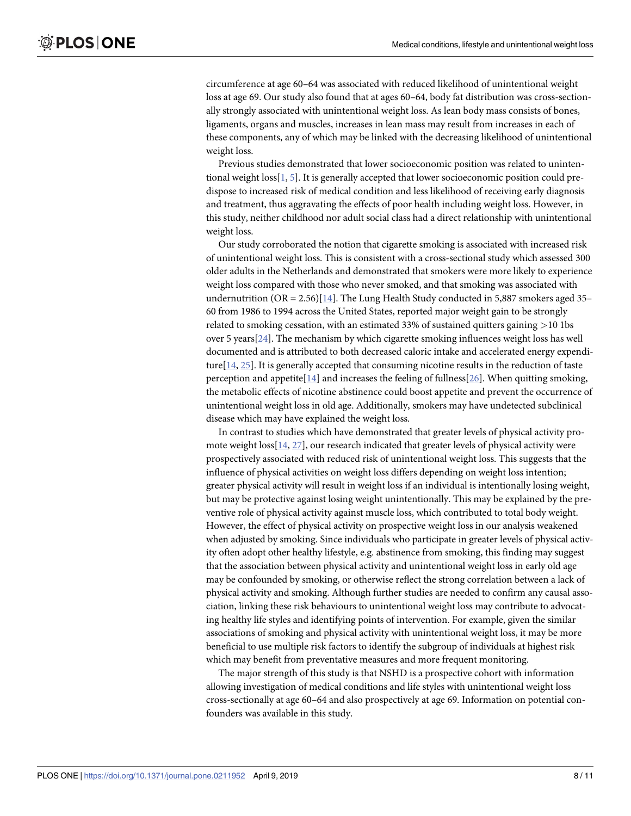<span id="page-7-0"></span>circumference at age 60–64 was associated with reduced likelihood of unintentional weight loss at age 69. Our study also found that at ages 60–64, body fat distribution was cross-sectionally strongly associated with unintentional weight loss. As lean body mass consists of bones, ligaments, organs and muscles, increases in lean mass may result from increases in each of these components, any of which may be linked with the decreasing likelihood of unintentional weight loss.

Previous studies demonstrated that lower socioeconomic position was related to unintentional weight loss[\[1,](#page-9-0) [5](#page-9-0)]. It is generally accepted that lower socioeconomic position could predispose to increased risk of medical condition and less likelihood of receiving early diagnosis and treatment, thus aggravating the effects of poor health including weight loss. However, in this study, neither childhood nor adult social class had a direct relationship with unintentional weight loss.

Our study corroborated the notion that cigarette smoking is associated with increased risk of unintentional weight loss. This is consistent with a cross-sectional study which assessed 300 older adults in the Netherlands and demonstrated that smokers were more likely to experience weight loss compared with those who never smoked, and that smoking was associated with undernutrition (OR = 2.56)[ $14$ ]. The Lung Health Study conducted in 5,887 smokers aged 35-60 from 1986 to 1994 across the United States, reported major weight gain to be strongly related to smoking cessation, with an estimated 33% of sustained quitters gaining *>*10 1bs over 5 years[[24](#page-10-0)]. The mechanism by which cigarette smoking influences weight loss has well documented and is attributed to both decreased caloric intake and accelerated energy expenditure[[14](#page-9-0), [25](#page-10-0)]. It is generally accepted that consuming nicotine results in the reduction of taste perception and appetite<sup>[[14](#page-9-0)]</sup> and increases the feeling of fullness<sup>[[26\]](#page-10-0)</sup>. When quitting smoking, the metabolic effects of nicotine abstinence could boost appetite and prevent the occurrence of unintentional weight loss in old age. Additionally, smokers may have undetected subclinical disease which may have explained the weight loss.

In contrast to studies which have demonstrated that greater levels of physical activity promote weight loss[[14](#page-9-0), [27](#page-10-0)], our research indicated that greater levels of physical activity were prospectively associated with reduced risk of unintentional weight loss. This suggests that the influence of physical activities on weight loss differs depending on weight loss intention; greater physical activity will result in weight loss if an individual is intentionally losing weight, but may be protective against losing weight unintentionally. This may be explained by the preventive role of physical activity against muscle loss, which contributed to total body weight. However, the effect of physical activity on prospective weight loss in our analysis weakened when adjusted by smoking. Since individuals who participate in greater levels of physical activity often adopt other healthy lifestyle, e.g. abstinence from smoking, this finding may suggest that the association between physical activity and unintentional weight loss in early old age may be confounded by smoking, or otherwise reflect the strong correlation between a lack of physical activity and smoking. Although further studies are needed to confirm any causal association, linking these risk behaviours to unintentional weight loss may contribute to advocating healthy life styles and identifying points of intervention. For example, given the similar associations of smoking and physical activity with unintentional weight loss, it may be more beneficial to use multiple risk factors to identify the subgroup of individuals at highest risk which may benefit from preventative measures and more frequent monitoring.

The major strength of this study is that NSHD is a prospective cohort with information allowing investigation of medical conditions and life styles with unintentional weight loss cross-sectionally at age 60–64 and also prospectively at age 69. Information on potential confounders was available in this study.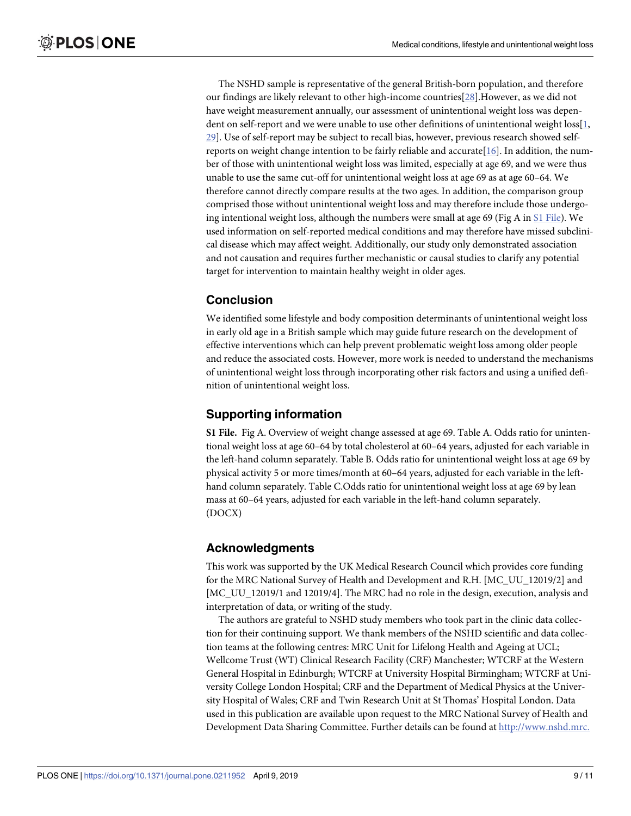<span id="page-8-0"></span>The NSHD sample is representative of the general British-born population, and therefore our findings are likely relevant to other high-income countries[\[28\]](#page-10-0).However, as we did not have weight measurement annually, our assessment of unintentional weight loss was dependent on self-report and we were unable to use other definitions of unintentional weight loss[[1,](#page-9-0) [29\]](#page-10-0). Use of self-report may be subject to recall bias, however, previous research showed selfreports on weight change intention to be fairly reliable and accurate  $[16]$ . In addition, the number of those with unintentional weight loss was limited, especially at age 69, and we were thus unable to use the same cut-off for unintentional weight loss at age 69 as at age 60–64. We therefore cannot directly compare results at the two ages. In addition, the comparison group comprised those without unintentional weight loss and may therefore include those undergoing intentional weight loss, although the numbers were small at age 69 (Fig A in S1 File). We used information on self-reported medical conditions and may therefore have missed subclinical disease which may affect weight. Additionally, our study only demonstrated association and not causation and requires further mechanistic or causal studies to clarify any potential target for intervention to maintain healthy weight in older ages.

## **Conclusion**

We identified some lifestyle and body composition determinants of unintentional weight loss in early old age in a British sample which may guide future research on the development of effective interventions which can help prevent problematic weight loss among older people and reduce the associated costs. However, more work is needed to understand the mechanisms of unintentional weight loss through incorporating other risk factors and using a unified definition of unintentional weight loss.

## **Supporting information**

**S1 [File.](http://www.plosone.org/article/fetchSingleRepresentation.action?uri=info:doi/10.1371/journal.pone.0211952.s001)** Fig A. Overview of weight change assessed at age 69. Table A. Odds ratio for unintentional weight loss at age 60–64 by total cholesterol at 60–64 years, adjusted for each variable in the left-hand column separately. Table B. Odds ratio for unintentional weight loss at age 69 by physical activity 5 or more times/month at 60–64 years, adjusted for each variable in the lefthand column separately. Table C.Odds ratio for unintentional weight loss at age 69 by lean mass at 60–64 years, adjusted for each variable in the left-hand column separately. (DOCX)

## **Acknowledgments**

This work was supported by the UK Medical Research Council which provides core funding for the MRC National Survey of Health and Development and R.H. [MC\_UU\_12019/2] and [MC\_UU\_12019/1 and 12019/4]. The MRC had no role in the design, execution, analysis and interpretation of data, or writing of the study.

The authors are grateful to NSHD study members who took part in the clinic data collection for their continuing support. We thank members of the NSHD scientific and data collection teams at the following centres: MRC Unit for Lifelong Health and Ageing at UCL; Wellcome Trust (WT) Clinical Research Facility (CRF) Manchester; WTCRF at the Western General Hospital in Edinburgh; WTCRF at University Hospital Birmingham; WTCRF at University College London Hospital; CRF and the Department of Medical Physics at the University Hospital of Wales; CRF and Twin Research Unit at St Thomas' Hospital London. Data used in this publication are available upon request to the MRC National Survey of Health and Development Data Sharing Committee. Further details can be found at [http://www.nshd.mrc.](http://www.nshd.mrc.ac.uk/data)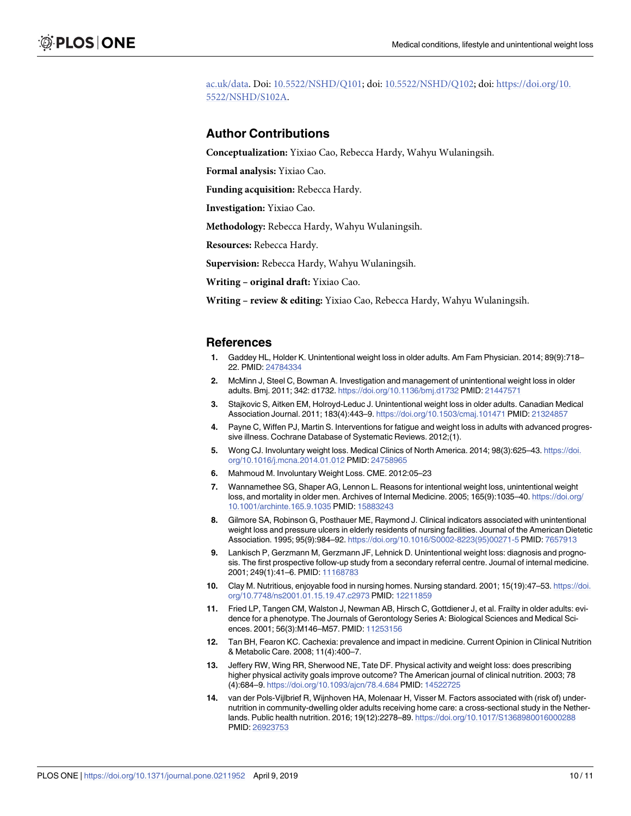<span id="page-9-0"></span>[ac.uk/data](http://www.nshd.mrc.ac.uk/data). Doi: [10.5522/NSHD/Q101;](https://doi.org/10.5522/NSHD/Q101) doi: [10.5522/NSHD/Q102;](https://doi.org/10.5522/NSHD/Q102) doi: [https://doi.org/10.](https://doi.org/10.5522/NSHD/S102A) [5522/NSHD/S102A.](https://doi.org/10.5522/NSHD/S102A)

#### **Author Contributions**

**Conceptualization:** Yixiao Cao, Rebecca Hardy, Wahyu Wulaningsih.

**Formal analysis:** Yixiao Cao.

**Funding acquisition:** Rebecca Hardy.

**Investigation:** Yixiao Cao.

**Methodology:** Rebecca Hardy, Wahyu Wulaningsih.

**Resources:** Rebecca Hardy.

**Supervision:** Rebecca Hardy, Wahyu Wulaningsih.

**Writing – original draft:** Yixiao Cao.

**Writing – review & editing:** Yixiao Cao, Rebecca Hardy, Wahyu Wulaningsih.

#### **References**

- **[1](#page-1-0).** Gaddey HL, Holder K. Unintentional weight loss in older adults. Am Fam Physician. 2014; 89(9):718– 22. PMID: [24784334](http://www.ncbi.nlm.nih.gov/pubmed/24784334)
- **[2](#page-1-0).** McMinn J, Steel C, Bowman A. Investigation and management of unintentional weight loss in older adults. Bmj. 2011; 342: d1732. <https://doi.org/10.1136/bmj.d1732> PMID: [21447571](http://www.ncbi.nlm.nih.gov/pubmed/21447571)
- **[3](#page-1-0).** Stajkovic S, Aitken EM, Holroyd-Leduc J. Unintentional weight loss in older adults. Canadian Medical Association Journal. 2011; 183(4):443–9. <https://doi.org/10.1503/cmaj.101471> PMID: [21324857](http://www.ncbi.nlm.nih.gov/pubmed/21324857)
- **[4](#page-1-0).** Payne C, Wiffen PJ, Martin S. Interventions for fatigue and weight loss in adults with advanced progressive illness. Cochrane Database of Systematic Reviews. 2012;(1).
- **[5](#page-1-0).** Wong CJ. Involuntary weight loss. Medical Clinics of North America. 2014; 98(3):625–43. [https://doi.](https://doi.org/10.1016/j.mcna.2014.01.012) [org/10.1016/j.mcna.2014.01.012](https://doi.org/10.1016/j.mcna.2014.01.012) PMID: [24758965](http://www.ncbi.nlm.nih.gov/pubmed/24758965)
- **6.** Mahmoud M. Involuntary Weight Loss. CME. 2012:05–23
- **[7](#page-1-0).** Wannamethee SG, Shaper AG, Lennon L. Reasons for intentional weight loss, unintentional weight loss, and mortality in older men. Archives of Internal Medicine. 2005; 165(9):1035–40. [https://doi.org/](https://doi.org/10.1001/archinte.165.9.1035) [10.1001/archinte.165.9.1035](https://doi.org/10.1001/archinte.165.9.1035) PMID: [15883243](http://www.ncbi.nlm.nih.gov/pubmed/15883243)
- **[8](#page-1-0).** Gilmore SA, Robinson G, Posthauer ME, Raymond J. Clinical indicators associated with unintentional weight loss and pressure ulcers in elderly residents of nursing facilities. Journal of the American Dietetic Association. 1995; 95(9):984–92. [https://doi.org/10.1016/S0002-8223\(95\)00271-5](https://doi.org/10.1016/S0002-8223(95)00271-5) PMID: [7657913](http://www.ncbi.nlm.nih.gov/pubmed/7657913)
- **[9](#page-1-0).** Lankisch P, Gerzmann M, Gerzmann JF, Lehnick D. Unintentional weight loss: diagnosis and prognosis. The first prospective follow-up study from a secondary referral centre. Journal of internal medicine. 2001; 249(1):41–6. PMID: [11168783](http://www.ncbi.nlm.nih.gov/pubmed/11168783)
- **[10](#page-1-0).** Clay M. Nutritious, enjoyable food in nursing homes. Nursing standard. 2001; 15(19):47–53. [https://doi.](https://doi.org/10.7748/ns2001.01.15.19.47.c2973) [org/10.7748/ns2001.01.15.19.47.c2973](https://doi.org/10.7748/ns2001.01.15.19.47.c2973) PMID: [12211859](http://www.ncbi.nlm.nih.gov/pubmed/12211859)
- **[11](#page-1-0).** Fried LP, Tangen CM, Walston J, Newman AB, Hirsch C, Gottdiener J, et al. Frailty in older adults: evidence for a phenotype. The Journals of Gerontology Series A: Biological Sciences and Medical Sciences. 2001; 56(3):M146–M57. PMID: [11253156](http://www.ncbi.nlm.nih.gov/pubmed/11253156)
- **[12](#page-1-0).** Tan BH, Fearon KC. Cachexia: prevalence and impact in medicine. Current Opinion in Clinical Nutrition & Metabolic Care. 2008; 11(4):400–7.
- **[13](#page-1-0).** Jeffery RW, Wing RR, Sherwood NE, Tate DF. Physical activity and weight loss: does prescribing higher physical activity goals improve outcome? The American journal of clinical nutrition. 2003; 78 (4):684–9. <https://doi.org/10.1093/ajcn/78.4.684> PMID: [14522725](http://www.ncbi.nlm.nih.gov/pubmed/14522725)
- **[14](#page-1-0).** van der Pols-Vijlbrief R, Wijnhoven HA, Molenaar H, Visser M. Factors associated with (risk of) undernutrition in community-dwelling older adults receiving home care: a cross-sectional study in the Netherlands. Public health nutrition. 2016; 19(12):2278–89. <https://doi.org/10.1017/S1368980016000288> PMID: [26923753](http://www.ncbi.nlm.nih.gov/pubmed/26923753)